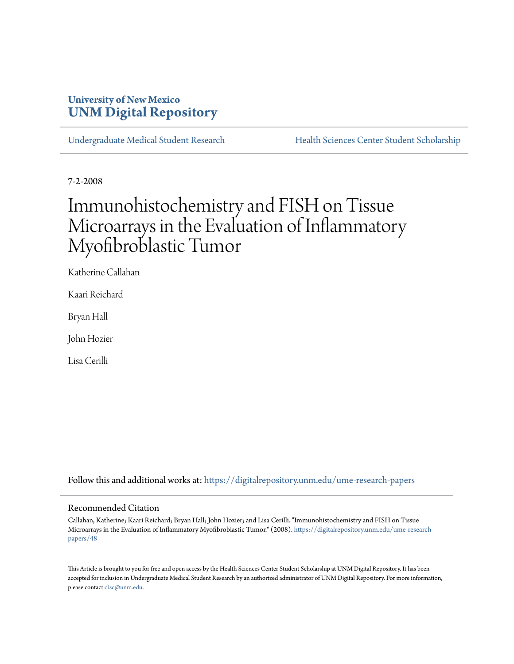## **University of New Mexico [UNM Digital Repository](https://digitalrepository.unm.edu?utm_source=digitalrepository.unm.edu%2Fume-research-papers%2F48&utm_medium=PDF&utm_campaign=PDFCoverPages)**

[Undergraduate Medical Student Research](https://digitalrepository.unm.edu/ume-research-papers?utm_source=digitalrepository.unm.edu%2Fume-research-papers%2F48&utm_medium=PDF&utm_campaign=PDFCoverPages) [Health Sciences Center Student Scholarship](https://digitalrepository.unm.edu/hsc-students?utm_source=digitalrepository.unm.edu%2Fume-research-papers%2F48&utm_medium=PDF&utm_campaign=PDFCoverPages)

7-2-2008

# Immunohistochemistry and FISH on Tissue Microarrays in the Evaluation of Inflammatory Myofibroblastic Tumor

Katherine Callahan

Kaari Reichard

Bryan Hall

John Hozier

Lisa Cerilli

Follow this and additional works at: [https://digitalrepository.unm.edu/ume-research-papers](https://digitalrepository.unm.edu/ume-research-papers?utm_source=digitalrepository.unm.edu%2Fume-research-papers%2F48&utm_medium=PDF&utm_campaign=PDFCoverPages)

#### Recommended Citation

Callahan, Katherine; Kaari Reichard; Bryan Hall; John Hozier; and Lisa Cerilli. "Immunohistochemistry and FISH on Tissue Microarrays in the Evaluation of Inflammatory Myofibroblastic Tumor." (2008). [https://digitalrepository.unm.edu/ume-research](https://digitalrepository.unm.edu/ume-research-papers/48?utm_source=digitalrepository.unm.edu%2Fume-research-papers%2F48&utm_medium=PDF&utm_campaign=PDFCoverPages)[papers/48](https://digitalrepository.unm.edu/ume-research-papers/48?utm_source=digitalrepository.unm.edu%2Fume-research-papers%2F48&utm_medium=PDF&utm_campaign=PDFCoverPages)

This Article is brought to you for free and open access by the Health Sciences Center Student Scholarship at UNM Digital Repository. It has been accepted for inclusion in Undergraduate Medical Student Research by an authorized administrator of UNM Digital Repository. For more information, please contact [disc@unm.edu.](mailto:disc@unm.edu)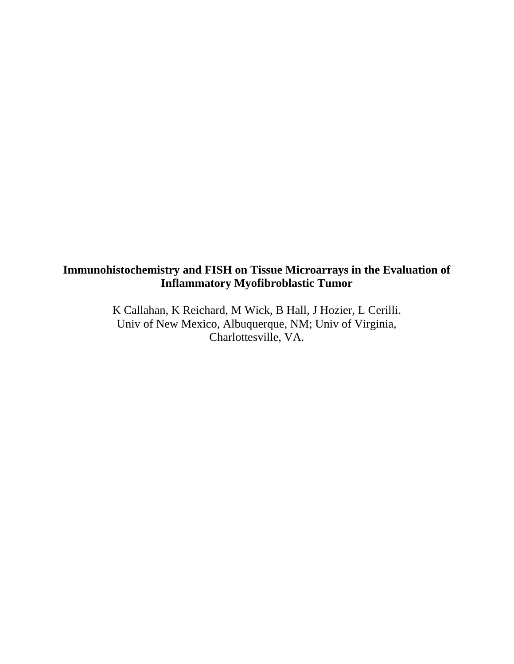# **Immunohistochemistry and FISH on Tissue Microarrays in the Evaluation of Inflammatory Myofibroblastic Tumor**

K Callahan, K Reichard, M Wick, B Hall, J Hozier, L Cerilli. Univ of New Mexico, Albuquerque, NM; Univ of Virginia, Charlottesville, VA.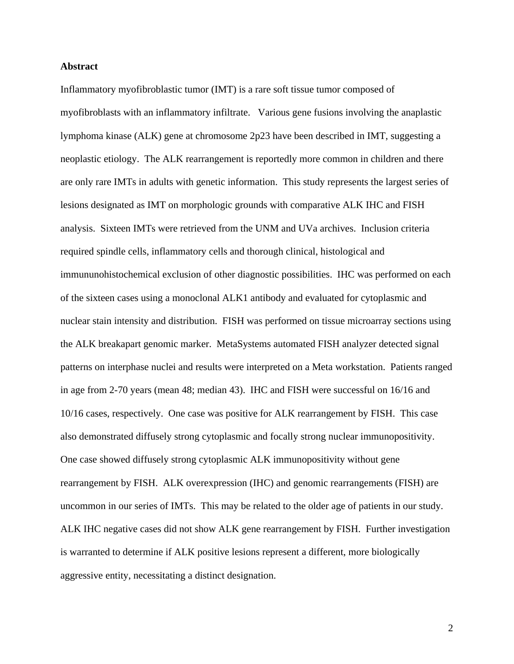#### **Abstract**

Inflammatory myofibroblastic tumor (IMT) is a rare soft tissue tumor composed of myofibroblasts with an inflammatory infiltrate. Various gene fusions involving the anaplastic lymphoma kinase (ALK) gene at chromosome 2p23 have been described in IMT, suggesting a neoplastic etiology. The ALK rearrangement is reportedly more common in children and there are only rare IMTs in adults with genetic information. This study represents the largest series of lesions designated as IMT on morphologic grounds with comparative ALK IHC and FISH analysis. Sixteen IMTs were retrieved from the UNM and UVa archives. Inclusion criteria required spindle cells, inflammatory cells and thorough clinical, histological and immununohistochemical exclusion of other diagnostic possibilities. IHC was performed on each of the sixteen cases using a monoclonal ALK1 antibody and evaluated for cytoplasmic and nuclear stain intensity and distribution. FISH was performed on tissue microarray sections using the ALK breakapart genomic marker. MetaSystems automated FISH analyzer detected signal patterns on interphase nuclei and results were interpreted on a Meta workstation. Patients ranged in age from 2-70 years (mean 48; median 43). IHC and FISH were successful on 16/16 and 10/16 cases, respectively. One case was positive for ALK rearrangement by FISH. This case also demonstrated diffusely strong cytoplasmic and focally strong nuclear immunopositivity. One case showed diffusely strong cytoplasmic ALK immunopositivity without gene rearrangement by FISH. ALK overexpression (IHC) and genomic rearrangements (FISH) are uncommon in our series of IMTs. This may be related to the older age of patients in our study. ALK IHC negative cases did not show ALK gene rearrangement by FISH. Further investigation is warranted to determine if ALK positive lesions represent a different, more biologically aggressive entity, necessitating a distinct designation.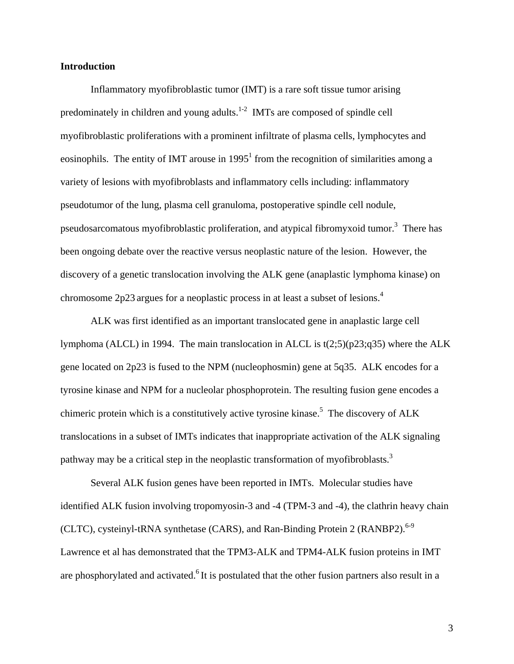#### **Introduction**

Inflammatory myofibroblastic tumor (IMT) is a rare soft tissue tumor arising predominately in children and young adults.<sup>1-2</sup> IMTs are composed of spindle cell myofibroblastic proliferations with a prominent infiltrate of plasma cells, lymphocytes and eosinophils. The entity of IMT arouse in  $1995<sup>1</sup>$  from the recognition of similarities among a variety of lesions with myofibroblasts and inflammatory cells including: inflammatory pseudotumor of the lung, plasma cell granuloma, postoperative spindle cell nodule, pseudosarcomatous myofibroblastic proliferation, and atypical fibromyxoid tumor.<sup>3</sup> There has been ongoing debate over the reactive versus neoplastic nature of the lesion. However, the discovery of a genetic translocation involving the ALK gene (anaplastic lymphoma kinase) on chromosome 2p23 argues for a neoplastic process in at least a subset of lesions.<sup>4</sup>

ALK was first identified as an important translocated gene in anaplastic large cell lymphoma (ALCL) in 1994. The main translocation in ALCL is t(2;5)(p23;q35) where the ALK gene located on 2p23 is fused to the NPM (nucleophosmin) gene at 5q35. ALK encodes for a tyrosine kinase and NPM for a nucleolar phosphoprotein. The resulting fusion gene encodes a chimeric protein which is a constitutively active tyrosine kinase.<sup>5</sup> The discovery of ALK translocations in a subset of IMTs indicates that inappropriate activation of the ALK signaling pathway may be a critical step in the neoplastic transformation of myofibroblasts.<sup>3</sup>

Several ALK fusion genes have been reported in IMTs. Molecular studies have identified ALK fusion involving tropomyosin-3 and -4 (TPM-3 and -4), the clathrin heavy chain (CLTC), cysteinyl-tRNA synthetase (CARS), and Ran-Binding Protein 2 (RANBP2). $6-9$ Lawrence et al has demonstrated that the TPM3-ALK and TPM4-ALK fusion proteins in IMT are phosphorylated and activated.<sup>6</sup> It is postulated that the other fusion partners also result in a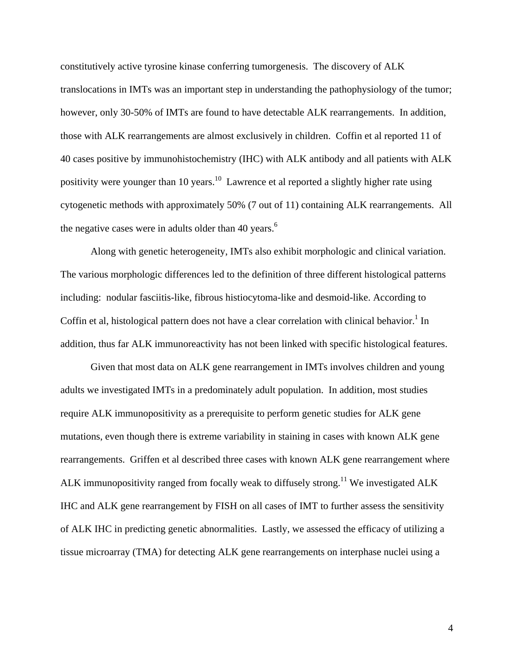constitutively active tyrosine kinase conferring tumorgenesis. The discovery of ALK translocations in IMTs was an important step in understanding the pathophysiology of the tumor; however, only 30-50% of IMTs are found to have detectable ALK rearrangements. In addition, those with ALK rearrangements are almost exclusively in children. Coffin et al reported 11 of 40 cases positive by immunohistochemistry (IHC) with ALK antibody and all patients with ALK positivity were younger than 10 years.<sup>10</sup> Lawrence et al reported a slightly higher rate using cytogenetic methods with approximately 50% (7 out of 11) containing ALK rearrangements. All the negative cases were in adults older than 40 years.<sup>6</sup>

 Along with genetic heterogeneity, IMTs also exhibit morphologic and clinical variation. The various morphologic differences led to the definition of three different histological patterns including: nodular fasciitis-like, fibrous histiocytoma-like and desmoid-like. According to Coffin et al, histological pattern does not have a clear correlation with clinical behavior.<sup>1</sup> In addition, thus far ALK immunoreactivity has not been linked with specific histological features.

Given that most data on ALK gene rearrangement in IMTs involves children and young adults we investigated IMTs in a predominately adult population. In addition, most studies require ALK immunopositivity as a prerequisite to perform genetic studies for ALK gene mutations, even though there is extreme variability in staining in cases with known ALK gene rearrangements. Griffen et al described three cases with known ALK gene rearrangement where ALK immunopositivity ranged from focally weak to diffusely strong.<sup>11</sup> We investigated ALK IHC and ALK gene rearrangement by FISH on all cases of IMT to further assess the sensitivity of ALK IHC in predicting genetic abnormalities. Lastly, we assessed the efficacy of utilizing a tissue microarray (TMA) for detecting ALK gene rearrangements on interphase nuclei using a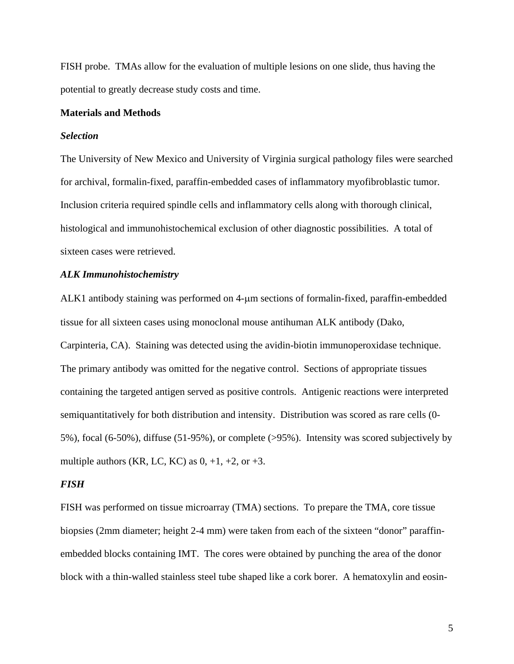FISH probe. TMAs allow for the evaluation of multiple lesions on one slide, thus having the potential to greatly decrease study costs and time.

#### **Materials and Methods**

#### *Selection*

The University of New Mexico and University of Virginia surgical pathology files were searched for archival, formalin-fixed, paraffin-embedded cases of inflammatory myofibroblastic tumor. Inclusion criteria required spindle cells and inflammatory cells along with thorough clinical, histological and immunohistochemical exclusion of other diagnostic possibilities. A total of sixteen cases were retrieved.

#### *ALK Immunohistochemistry*

ALK1 antibody staining was performed on 4-μm sections of formalin-fixed, paraffin-embedded tissue for all sixteen cases using monoclonal mouse antihuman ALK antibody (Dako, Carpinteria, CA). Staining was detected using the avidin-biotin immunoperoxidase technique. The primary antibody was omitted for the negative control. Sections of appropriate tissues containing the targeted antigen served as positive controls. Antigenic reactions were interpreted semiquantitatively for both distribution and intensity. Distribution was scored as rare cells (0- 5%), focal (6-50%), diffuse (51-95%), or complete (>95%). Intensity was scored subjectively by multiple authors (KR, LC, KC) as  $0, +1, +2,$  or  $+3$ .

#### *FISH*

FISH was performed on tissue microarray (TMA) sections. To prepare the TMA, core tissue biopsies (2mm diameter; height 2-4 mm) were taken from each of the sixteen "donor" paraffinembedded blocks containing IMT. The cores were obtained by punching the area of the donor block with a thin-walled stainless steel tube shaped like a cork borer. A hematoxylin and eosin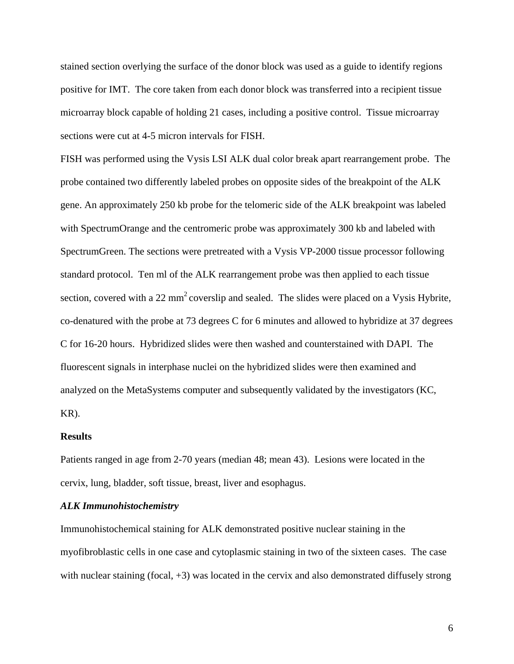stained section overlying the surface of the donor block was used as a guide to identify regions positive for IMT. The core taken from each donor block was transferred into a recipient tissue microarray block capable of holding 21 cases, including a positive control. Tissue microarray sections were cut at 4-5 micron intervals for FISH.

FISH was performed using the Vysis LSI ALK dual color break apart rearrangement probe. The probe contained two differently labeled probes on opposite sides of the breakpoint of the ALK gene. An approximately 250 kb probe for the telomeric side of the ALK breakpoint was labeled with SpectrumOrange and the centromeric probe was approximately 300 kb and labeled with SpectrumGreen. The sections were pretreated with a Vysis VP-2000 tissue processor following standard protocol. Ten ml of the ALK rearrangement probe was then applied to each tissue section, covered with a 22 mm<sup>2</sup> coverslip and sealed. The slides were placed on a Vysis Hybrite, co-denatured with the probe at 73 degrees C for 6 minutes and allowed to hybridize at 37 degrees C for 16-20 hours. Hybridized slides were then washed and counterstained with DAPI. The fluorescent signals in interphase nuclei on the hybridized slides were then examined and analyzed on the MetaSystems computer and subsequently validated by the investigators (KC, KR).

#### **Results**

Patients ranged in age from 2-70 years (median 48; mean 43). Lesions were located in the cervix, lung, bladder, soft tissue, breast, liver and esophagus.

#### *ALK Immunohistochemistry*

Immunohistochemical staining for ALK demonstrated positive nuclear staining in the myofibroblastic cells in one case and cytoplasmic staining in two of the sixteen cases. The case with nuclear staining (focal, +3) was located in the cervix and also demonstrated diffusely strong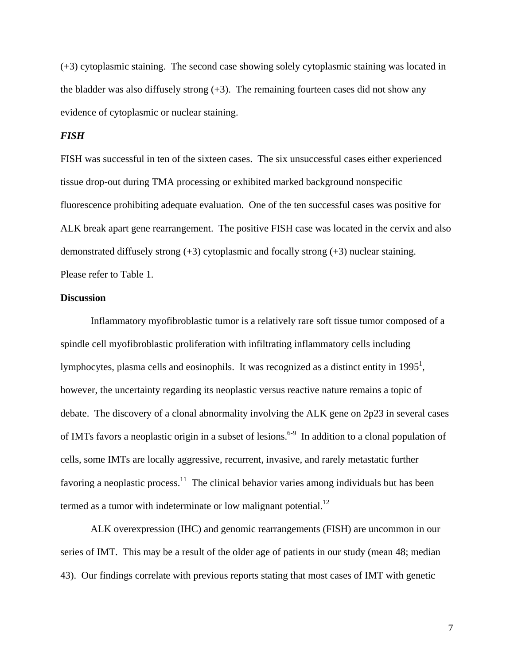(+3) cytoplasmic staining. The second case showing solely cytoplasmic staining was located in the bladder was also diffusely strong  $(+3)$ . The remaining fourteen cases did not show any evidence of cytoplasmic or nuclear staining.

#### *FISH*

FISH was successful in ten of the sixteen cases. The six unsuccessful cases either experienced tissue drop-out during TMA processing or exhibited marked background nonspecific fluorescence prohibiting adequate evaluation. One of the ten successful cases was positive for ALK break apart gene rearrangement. The positive FISH case was located in the cervix and also demonstrated diffusely strong (+3) cytoplasmic and focally strong (+3) nuclear staining. Please refer to Table 1.

#### **Discussion**

Inflammatory myofibroblastic tumor is a relatively rare soft tissue tumor composed of a spindle cell myofibroblastic proliferation with infiltrating inflammatory cells including lymphocytes, plasma cells and eosinophils. It was recognized as a distinct entity in 1995<sup>1</sup>, however, the uncertainty regarding its neoplastic versus reactive nature remains a topic of debate. The discovery of a clonal abnormality involving the ALK gene on 2p23 in several cases of IMTs favors a neoplastic origin in a subset of lesions.<sup>6-9</sup> In addition to a clonal population of cells, some IMTs are locally aggressive, recurrent, invasive, and rarely metastatic further favoring a neoplastic process.<sup>11</sup> The clinical behavior varies among individuals but has been termed as a tumor with indeterminate or low malignant potential.<sup>12</sup>

ALK overexpression (IHC) and genomic rearrangements (FISH) are uncommon in our series of IMT. This may be a result of the older age of patients in our study (mean 48; median 43). Our findings correlate with previous reports stating that most cases of IMT with genetic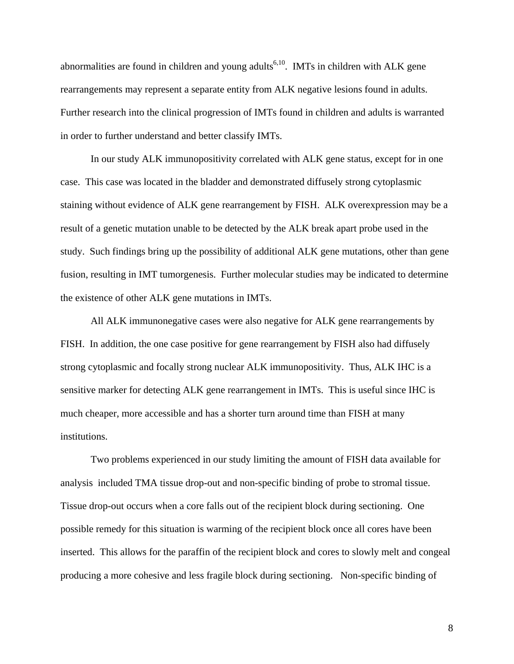abnormalities are found in children and young adults<sup>6,10</sup>. IMTs in children with ALK gene rearrangements may represent a separate entity from ALK negative lesions found in adults. Further research into the clinical progression of IMTs found in children and adults is warranted in order to further understand and better classify IMTs.

In our study ALK immunopositivity correlated with ALK gene status, except for in one case. This case was located in the bladder and demonstrated diffusely strong cytoplasmic staining without evidence of ALK gene rearrangement by FISH. ALK overexpression may be a result of a genetic mutation unable to be detected by the ALK break apart probe used in the study. Such findings bring up the possibility of additional ALK gene mutations, other than gene fusion, resulting in IMT tumorgenesis. Further molecular studies may be indicated to determine the existence of other ALK gene mutations in IMTs.

All ALK immunonegative cases were also negative for ALK gene rearrangements by FISH. In addition, the one case positive for gene rearrangement by FISH also had diffusely strong cytoplasmic and focally strong nuclear ALK immunopositivity. Thus, ALK IHC is a sensitive marker for detecting ALK gene rearrangement in IMTs. This is useful since IHC is much cheaper, more accessible and has a shorter turn around time than FISH at many institutions.

Two problems experienced in our study limiting the amount of FISH data available for analysis included TMA tissue drop-out and non-specific binding of probe to stromal tissue. Tissue drop-out occurs when a core falls out of the recipient block during sectioning. One possible remedy for this situation is warming of the recipient block once all cores have been inserted. This allows for the paraffin of the recipient block and cores to slowly melt and congeal producing a more cohesive and less fragile block during sectioning. Non-specific binding of

8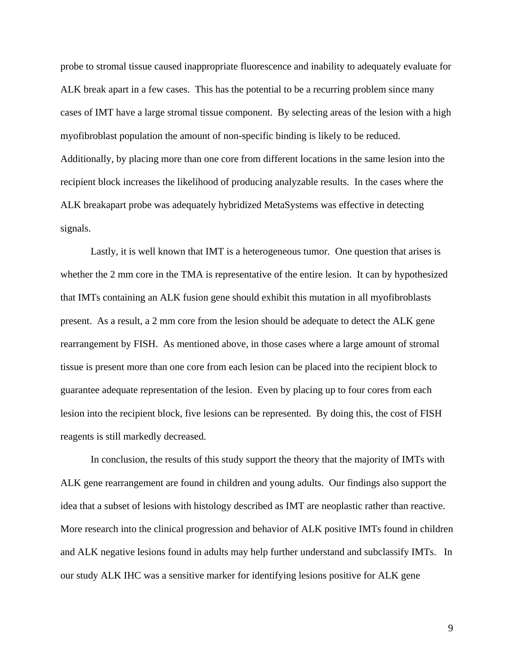probe to stromal tissue caused inappropriate fluorescence and inability to adequately evaluate for ALK break apart in a few cases. This has the potential to be a recurring problem since many cases of IMT have a large stromal tissue component. By selecting areas of the lesion with a high myofibroblast population the amount of non-specific binding is likely to be reduced. Additionally, by placing more than one core from different locations in the same lesion into the recipient block increases the likelihood of producing analyzable results. In the cases where the ALK breakapart probe was adequately hybridized MetaSystems was effective in detecting signals.

Lastly, it is well known that IMT is a heterogeneous tumor. One question that arises is whether the 2 mm core in the TMA is representative of the entire lesion. It can by hypothesized that IMTs containing an ALK fusion gene should exhibit this mutation in all myofibroblasts present. As a result, a 2 mm core from the lesion should be adequate to detect the ALK gene rearrangement by FISH. As mentioned above, in those cases where a large amount of stromal tissue is present more than one core from each lesion can be placed into the recipient block to guarantee adequate representation of the lesion. Even by placing up to four cores from each lesion into the recipient block, five lesions can be represented. By doing this, the cost of FISH reagents is still markedly decreased.

In conclusion, the results of this study support the theory that the majority of IMTs with ALK gene rearrangement are found in children and young adults. Our findings also support the idea that a subset of lesions with histology described as IMT are neoplastic rather than reactive. More research into the clinical progression and behavior of ALK positive IMTs found in children and ALK negative lesions found in adults may help further understand and subclassify IMTs. In our study ALK IHC was a sensitive marker for identifying lesions positive for ALK gene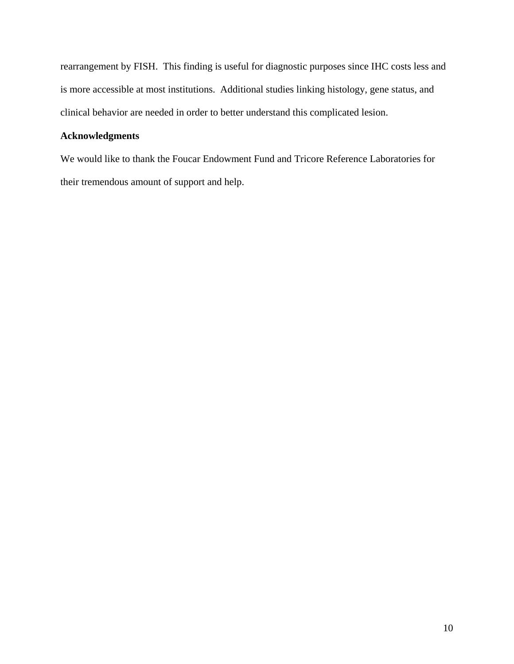rearrangement by FISH. This finding is useful for diagnostic purposes since IHC costs less and is more accessible at most institutions. Additional studies linking histology, gene status, and clinical behavior are needed in order to better understand this complicated lesion.

### **Acknowledgments**

We would like to thank the Foucar Endowment Fund and Tricore Reference Laboratories for their tremendous amount of support and help.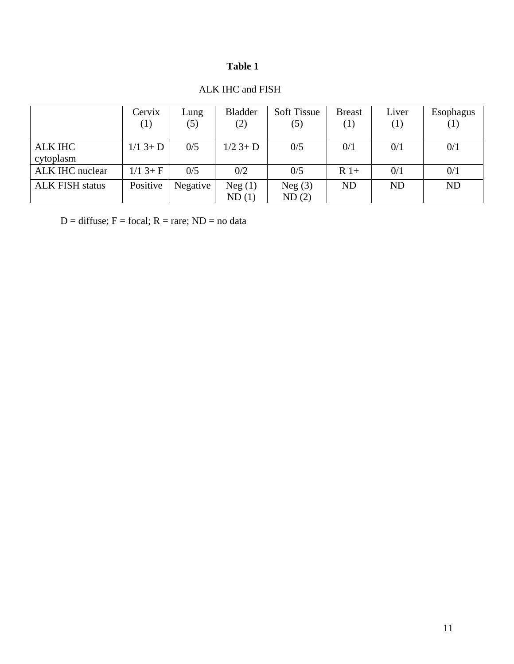## **Table 1**

|                        | Cervix           | Lung     | <b>Bladder</b> | <b>Soft Tissue</b> | <b>Breast</b> | Liver     | Esophagus |
|------------------------|------------------|----------|----------------|--------------------|---------------|-----------|-----------|
|                        | $\left(1\right)$ | (5)      | (2)            | (5)                | (1)           | (1)       | (1)       |
|                        |                  |          |                |                    |               |           |           |
| <b>ALK IHC</b>         | $1/1$ 3+ D       | 0/5      | $1/2$ 3+ D     | 0/5                | 0/1           | 0/1       | 0/1       |
| cytoplasm              |                  |          |                |                    |               |           |           |
| ALK IHC nuclear        | $1/1$ 3+ F       | 0/5      | 0/2            | 0/5                | $R$ 1+        | 0/1       | 0/1       |
| <b>ALK FISH status</b> | Positive         | Negative | Neg(1)         | Neg(3)             | <b>ND</b>     | <b>ND</b> | <b>ND</b> |
|                        |                  |          | ND(1)          | ND(2)              |               |           |           |

## ALK IHC and FISH

 $D =$  diffuse;  $F =$  focal;  $R =$  rare;  $ND =$  no data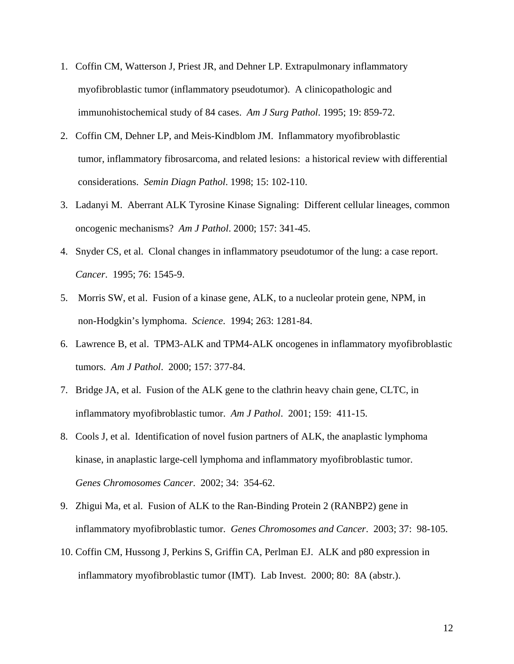- 1. Coffin CM, Watterson J, Priest JR, and Dehner LP. Extrapulmonary inflammatory myofibroblastic tumor (inflammatory pseudotumor). A clinicopathologic and immunohistochemical study of 84 cases. *Am J Surg Pathol*. 1995; 19: 859-72.
- 2. Coffin CM, Dehner LP, and Meis-Kindblom JM. Inflammatory myofibroblastic tumor, inflammatory fibrosarcoma, and related lesions: a historical review with differential considerations. *Semin Diagn Pathol*. 1998; 15: 102-110.
- 3. Ladanyi M. Aberrant ALK Tyrosine Kinase Signaling: Different cellular lineages, common oncogenic mechanisms? *Am J Pathol*. 2000; 157: 341-45.
- 4. Snyder CS, et al. Clonal changes in inflammatory pseudotumor of the lung: a case report. *Cancer*. 1995; 76: 1545-9.
- 5. Morris SW, et al. Fusion of a kinase gene, ALK, to a nucleolar protein gene, NPM, in non-Hodgkin's lymphoma. *Science*. 1994; 263: 1281-84.
- 6. Lawrence B, et al. TPM3-ALK and TPM4-ALK oncogenes in inflammatory myofibroblastic tumors. *Am J Pathol*. 2000; 157: 377-84.
- 7. Bridge JA, et al. Fusion of the ALK gene to the clathrin heavy chain gene, CLTC, in inflammatory myofibroblastic tumor. *Am J Pathol*. 2001; 159: 411-15.
- 8. Cools J, et al. Identification of novel fusion partners of ALK, the anaplastic lymphoma kinase, in anaplastic large-cell lymphoma and inflammatory myofibroblastic tumor. *Genes Chromosomes Cancer*. 2002; 34: 354-62.
- 9. Zhigui Ma, et al. Fusion of ALK to the Ran-Binding Protein 2 (RANBP2) gene in inflammatory myofibroblastic tumor. *Genes Chromosomes and Cancer*. 2003; 37: 98-105.
- 10. Coffin CM, Hussong J, Perkins S, Griffin CA, Perlman EJ. ALK and p80 expression in inflammatory myofibroblastic tumor (IMT). Lab Invest. 2000; 80: 8A (abstr.).